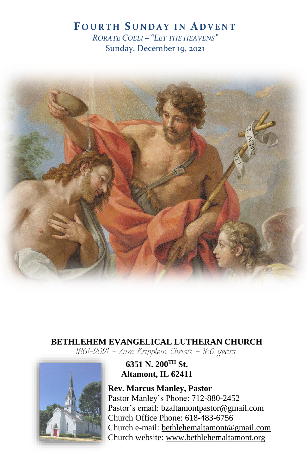# **F O U R T H S U N D A Y I N A D V E N T** *RORATE COELI – "LET THE HEAVENS"* Sunday, December 19, 2021



# **BETHLEHEM EVANGELICAL LUTHERAN CHURCH**<br>1861-2021 - Zum Kripplein Christi - 160 years



**6351 N. 200TH St. Altamont, IL 62411**

**Rev. Marcus Manley, Pastor** Pastor Manley's Phone: 712-880-2452 Pastor's email[: bzaltamontpastor@gmail.com](mailto:bzaltamontpastor@gmail.com) Church Office Phone: 618-483-6756 Church e-mail: [bethlehemaltamont@gmail.com](mailto:bethlehemaltamont@gmail.com) Church website: [www.bethlehemaltamont.org](http://www.bethlehemaltamont.org/)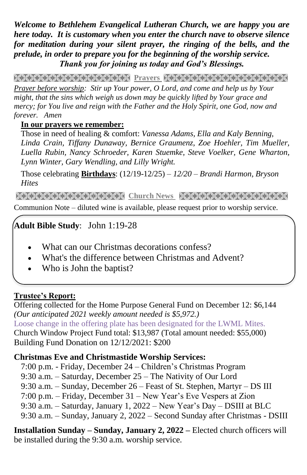*Welcome to Bethlehem Evangelical Lutheran Church, we are happy you are here today. It is customary when you enter the church nave to observe silence for meditation during your silent prayer, the ringing of the bells, and the prelude, in order to prepare you for the beginning of the worship service. Thank you for joining us today and God's Blessings.*

**PRAYARANA NATURAL PROTECT PARAMETERING CONTROLLER** 

*Prayer before worship: Stir up Your power, O Lord, and come and help us by Your might, that the sins which weigh us down may be quickly lifted by Your grace and mercy; for You live and reign with the Father and the Holy Spirit, one God, now and forever. Amen*

### **In our prayers we remember:**

Those in need of healing & comfort: *Vanessa Adams, Ella and Kaly Benning, Linda Crain, Tiffany Dunaway, Bernice Graumenz, Zoe Hoehler, Tim Mueller, Luella Rubin, Nancy Schroeder, Karen Stuemke, Steve Voelker, Gene Wharton, Lynn Winter, Gary Wendling, and Lilly Wright.*

Those celebrating **Birthdays**: (12/19-12/25) *– 12/20 – Brandi Harmon, Bryson Hites* 

**Church News RECESSION NEWS RECEIVED NAMES IN A SERVE REPORT OF STATE AND RELATED MEMORY OF A STATE OF STATE OF** Communion Note – diluted wine is available, please request prior to worship service.

#### **Adult Bible Study**: John 1:19-28

- What can our Christmas decorations confess?
- What's the difference between Christmas and Advent?
- Who is John the baptist?

# **Trustee's Report:**

Offering collected for the Home Purpose General Fund on December 12: \$6,144 *(Our anticipated 2021 weekly amount needed is \$5,972.)*  Loose change in the offering plate has been designated for the LWML Mites. Church Window Project Fund total: \$13,987 (Total amount needed: \$55,000) Building Fund Donation on 12/12/2021: \$200

# **Christmas Eve and Christmastide Worship Services:**

- 7:00 p.m. Friday, December 24 Children's Christmas Program
- 9:30 a.m. Saturday, December 25 The Nativity of Our Lord
- 9:30 a.m. Sunday, December 26 Feast of St. Stephen, Martyr DS III
- 7:00 p.m. Friday, December 31 New Year's Eve Vespers at Zion
- 9:30 a.m. Saturday, January 1, 2022 New Year's Day DSIII at BLC
- 9:30 a.m. Sunday, January 2, 2022 Second Sunday after Christmas DSIII

**Installation Sunday – Sunday, January 2, 2022 –** Elected church officers will be installed during the 9:30 a.m. worship service.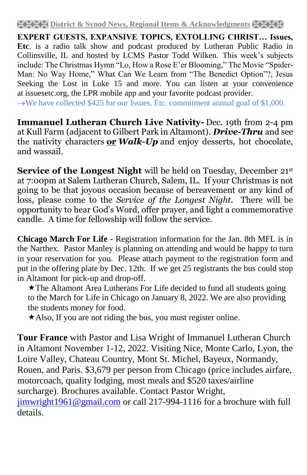**EXPERT GUESTS, EXPANSIVE TOPICS, EXTOLLING CHRIST… Issues, Etc**. is a radio talk show and podcast produced by Lutheran Public Radio in Collinsville, IL and hosted by LCMS Pastor Todd Wilken. This week's subjects include: The Christmas Hymn "Lo, How a Rose E'er Blooming," The Movie "Spider-Man: No Way Home," What Can We Learn from "The Benedict Option"?, Jesus Seeking the Lost in Luke 15 and more. You can listen at your convenience at [issuesetc.org,](https://r20.rs6.net/tn.jsp?f=001dsJDZT1W1i_ro3_nvVUPkCZulFTHZpuz0ryafI_593WnGUMOizjpbChgpuBEHqtpGo9CjycaZJxuhnFN5ZitMUWz0ZoXS1LwMgQRUmboSnSC4SaGsDL7X7xRHnnbFwbReo1cV075pXCF2xoSK38PTQ==&c=jZsHoeA9k7GUl3y0sIfxVWI0EKBdR9prco-tVhcJSa1GKnCT-D20XQ==&ch=NxXVw1M240LAb_OSJWiImgLadTOonxXYjuVvEoUyEK802_c2mET21w==) the LPR mobile app and your favorite podcast provider.

 $\rightarrow$ We have collected \$425 for our Issues. Etc. commitment annual goal of \$1,000.

**Immanuel Lutheran Church Live Nativity-** Dec. 19th from 2-4 pm at Kull Farm (adjacent to Gilbert Park in Altamont). *Drive-Thru* and see the nativity characters **or** *Walk-Up* and enjoy desserts, hot chocolate, and wassail.

**Service of the Longest Night** will be held on Tuesday, December 21<sup>st</sup> at 7:00pm at Salem Lutheran Church, Salem, IL. If your Christmas is not going to be that joyous occasion because of bereavement or any kind of loss, please come to the *Service of the Longest Night*. There will be opportunity to hear God's Word, offer prayer, and light a commemorative candle. A time for fellowship will follow the service.

**Chicago March For Life -** Registration information for the Jan. 8th MFL is in the Narthex. Pastor Manley is planning on attending and would be happy to turn in your reservation for you. Please attach payment to the registration form and put in the offering plate by Dec. 12th. If we get 25 registrants the bus could stop in Altamont for pick-up and drop-off.

The Altamont Area Lutherans For Life decided to fund all students going to the March for Life in Chicago on January 8, 2022. We are also providing the students money for food.

 $\star$ Also, If you are not riding the bus, you must register online.

**Tour France** with Pastor and Lisa Wright of Immanuel Lutheran Church in Altamont November 1-12, 2022. Visiting Nice, Monte Carlo, Lyon, the Loire Valley, Chateau Country, Mont St. Michel, Bayeux, Normandy, Rouen, and Paris. \$3,679 per person from Chicago (price includes airfare, motorcoach, quality lodging, most meals and \$520 taxes/airline surcharge). Brochures available. Contact Pastor Wright, [jimwright1961@gmail.com](mailto:jimwright1961@gmail.com) or call 217-994-1116 for a brochure with full details.